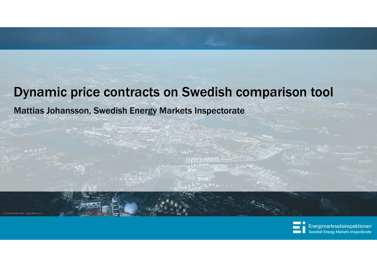### Dynamic price contracts on Swedish comparison tool

### Mattias Johansson, Swedish Energy Markets Inspectorate

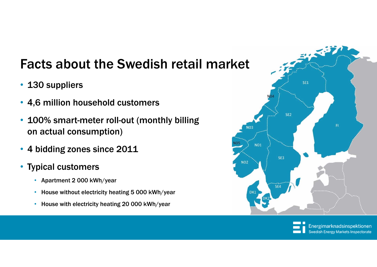## Facts about the Swedish retail market

- 130 suppliers
- 4,6 million household customers
- $\bullet$  100% smart-meter roll-out (monthly billing on actual consumption)
- 4 bidding zones since 2011
- Typical customers
	- Apartment 2 000 kWh/year
	- House without electricity heating 5 000 kWh/year
	- House with electricity heating 20 000 kWh/year



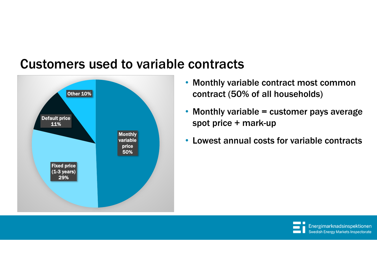

### Customers used to variable contracts

- Monthly variable contract most common contract (50% of all households)
- Monthly variable = customer pays average spot price + mark-up
- Lowest annual costs for variable contracts

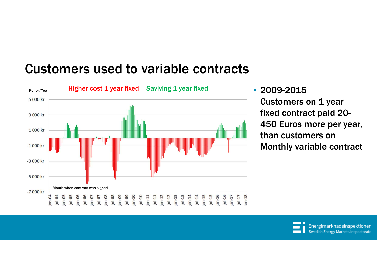### Customers used to variable contracts



### • 2009-2015

Customers on 1 year fixed contract paid 20- 450 Euros more per year, than customers on Monthly variable contract

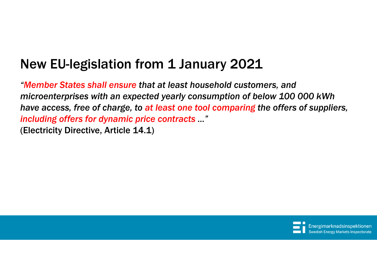## New EU-legislation from 1 January 2021

*"Member States shall ensure that at least household customers, and microenterprises with an expected yearly consumption of below 100 000 kWh have access, free of charge, to at least one tool comparing the offers of suppliers, including offers for dynamic price contracts ..."*  (Electricity Directive, Article 14.1)

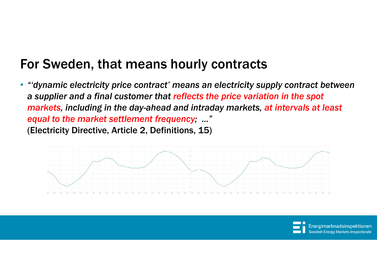### For Sweden, that means hourly contracts

• *"'dynamic electricity price contract' means an electricity supply contract between a supplier and a final customer that reflects the price variation in the spot markets, including in the day-ahead and intraday markets, at intervals at least equal to the market settlement frequency; ..."*  (Electricity Directive, Article 2, Definitions, 15)



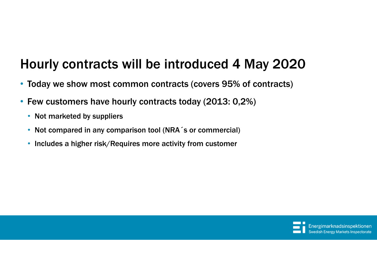### Hourly contracts will be introduced 4 May 2020

- Today we show most common contracts (covers 95% of contracts)
- $\bullet$  Few customers have hourly contracts today (2013: 0,2%)
	- Not marketed by suppliers
	- Not compared in any comparison tool (NRA<sup>-</sup>s or commercial)
	- Includes a higher risk/Requires more activity from customer

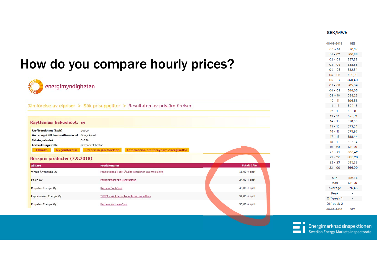#### SEK/MWh

| 570.37<br>$00 - 01$<br>$01 - 02$<br>566.88<br>$02 - 03$<br>557.58<br>How do you compare hourly prices?<br>$03 - 04$<br>538.88<br>$04 - 05$<br>532.54<br>$05 - 06$<br>539.19<br>$06 - 07$<br>550.40<br>$07 - 08$<br>565.09<br>energimyndigheten<br>$08 - 09$<br>588.65<br>$09 - 10$<br>588.23<br>$10 - 11$<br>596.58<br>Jämförelse av elpriser > Sök prisuppgifter > Resultaten av prisjämförelsen<br>$11 - 12$<br>594.15<br>$12 - 13$<br>580.31<br>$13 - 14$<br>576.71<br>$14 - 15$<br>573.65<br>Käyttämäsi hakuehdot:_sv<br>$15 - 16$<br>573.54<br>Årsförbrukning (kWh) |  |
|--------------------------------------------------------------------------------------------------------------------------------------------------------------------------------------------------------------------------------------------------------------------------------------------------------------------------------------------------------------------------------------------------------------------------------------------------------------------------------------------------------------------------------------------------------------------------|--|
|                                                                                                                                                                                                                                                                                                                                                                                                                                                                                                                                                                          |  |
|                                                                                                                                                                                                                                                                                                                                                                                                                                                                                                                                                                          |  |
|                                                                                                                                                                                                                                                                                                                                                                                                                                                                                                                                                                          |  |
|                                                                                                                                                                                                                                                                                                                                                                                                                                                                                                                                                                          |  |
|                                                                                                                                                                                                                                                                                                                                                                                                                                                                                                                                                                          |  |
|                                                                                                                                                                                                                                                                                                                                                                                                                                                                                                                                                                          |  |
|                                                                                                                                                                                                                                                                                                                                                                                                                                                                                                                                                                          |  |
|                                                                                                                                                                                                                                                                                                                                                                                                                                                                                                                                                                          |  |
|                                                                                                                                                                                                                                                                                                                                                                                                                                                                                                                                                                          |  |
|                                                                                                                                                                                                                                                                                                                                                                                                                                                                                                                                                                          |  |
|                                                                                                                                                                                                                                                                                                                                                                                                                                                                                                                                                                          |  |
|                                                                                                                                                                                                                                                                                                                                                                                                                                                                                                                                                                          |  |
|                                                                                                                                                                                                                                                                                                                                                                                                                                                                                                                                                                          |  |
|                                                                                                                                                                                                                                                                                                                                                                                                                                                                                                                                                                          |  |
|                                                                                                                                                                                                                                                                                                                                                                                                                                                                                                                                                                          |  |
| 10000<br>$16 - 17$<br>575.97                                                                                                                                                                                                                                                                                                                                                                                                                                                                                                                                             |  |
| Ursprunget till leverantörernas el Obegränsad<br>$17 - 18$<br>588.44                                                                                                                                                                                                                                                                                                                                                                                                                                                                                                     |  |
| Säkringsstorlek<br>3x25A<br>$18 - 19$<br>605.14                                                                                                                                                                                                                                                                                                                                                                                                                                                                                                                          |  |
| Förbrukningsställe<br>Permanent bostad<br>$19 - 20$<br>611,59                                                                                                                                                                                                                                                                                                                                                                                                                                                                                                            |  |
| Information om förnybara energikällor<br>Ny jämförelse<br>Precisera jämförelsen<br><b>Tillbaka</b><br>$20 - 21$<br>608.42                                                                                                                                                                                                                                                                                                                                                                                                                                                |  |
| $21 - 22$<br>600.28<br>Börspris producter (7.9.2018)                                                                                                                                                                                                                                                                                                                                                                                                                                                                                                                     |  |
| $22 - 23$<br>585.38                                                                                                                                                                                                                                                                                                                                                                                                                                                                                                                                                      |  |
| Totalt €/år<br><b>Säljare</b><br>Produktnamn<br>$23 - 00$<br>566.99                                                                                                                                                                                                                                                                                                                                                                                                                                                                                                      |  |
| Vihreä Älyenergia Oy<br>Fossiilivapaa-Tunti-Älykäs+edullinen suomalaiselta<br>$16,00 + spot$                                                                                                                                                                                                                                                                                                                                                                                                                                                                             |  |
| Min<br>532.54<br>Pörssihintasähkö kesätarjous<br>$24,00 + spot$<br>Helen Oy                                                                                                                                                                                                                                                                                                                                                                                                                                                                                              |  |
| 611.59<br>Max                                                                                                                                                                                                                                                                                                                                                                                                                                                                                                                                                            |  |
| Korpelan Energia Oy<br>576.46<br>Korpela TuntiSpot<br>$48,00 + spot$<br>Average                                                                                                                                                                                                                                                                                                                                                                                                                                                                                          |  |
| Peak<br>٠<br>Leppäkosken Energia Oy<br>TUNTI - sähkön hinta vaihtuu tunneittain<br>$52,88 + spot$                                                                                                                                                                                                                                                                                                                                                                                                                                                                        |  |
| Off-peak 1<br>$\sim$                                                                                                                                                                                                                                                                                                                                                                                                                                                                                                                                                     |  |
| Off-peak 2<br>$\sim$<br>Korpelan Energia Oy<br>$55,00 + spot$<br>Korpela KuukausiSpot                                                                                                                                                                                                                                                                                                                                                                                                                                                                                    |  |
| 08-09-2018<br>SE3                                                                                                                                                                                                                                                                                                                                                                                                                                                                                                                                                        |  |

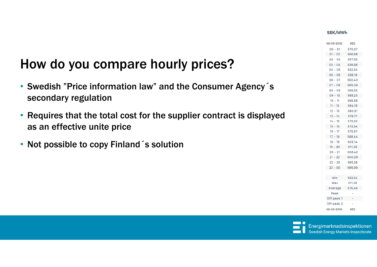#### SEK/MWh

SE3

570.37

566,88

557,58

538,88

532.54

539.19

550,40

565,09

588,65

588,23

596,58

594.15

580,31

576,71

573,65

573,54

575,97

588,44

605,14

611,59

608,42

600,28

585,38

566,99

532,54

611,59 576,46

 $\sim$ 

 $\overline{\phantom{a}}$ 

SE3

 $\sim 10^{11}$  km s  $^{-1}$ 

08-09-2018

 $00 - 01$ 

 $01 - 02$ 

 $02 - 03$ 

 $03 - 04$ 

 $04 - 05$ 

 $05 - 06$ 

 $06 - 07$ 

 $07 - 08$ 

 $08 - 09$ 

 $09 - 10$ 

 $10 - 11$ 

 $11 - 12$ 

 $12 - 13$ 

 $13 - 14$ 

 $14 - 15$ 

 $15 - 16$ 

 $16 - 17$ 

 $17 - 18$ 

 $18 - 19$ 

 $19 - 20$ 

 $20 - 21$ 

 $21 - 22$ 

 $22 - 23$ 

 $23 - 00$ 

Min

Max

Average Peak

Off-peak 1

Off-peak 2

08-09-2018

| How do you compare hourly prices?                                                                    |
|------------------------------------------------------------------------------------------------------|
| • Swedish "Price information law" and the Consumer Agency's<br>secondary regulation                  |
| • Requires that the total cost for the supplier contract is displayed<br>as an effective unite price |
| • Not possible to copy Finland s solution                                                            |
|                                                                                                      |
|                                                                                                      |

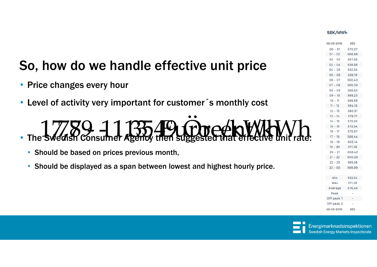#### **SEK/MWh**

| 08-09-2018 | SE3             |
|------------|-----------------|
| $00 - 01$  | 570.37          |
| $01 - 02$  | 566.88          |
| $02 - 03$  | 557.58          |
| $03 - 04$  | 538.88          |
| $04 - 05$  | 532.54          |
| $05 - 06$  | 539,19          |
| $06 - 07$  | 550,40          |
| $07 - 08$  | 565.09          |
| $08 - 09$  | 588.65          |
| $09 - 10$  | 588.23          |
| $10 - 11$  | 596.58          |
| 11 - 12    | 594,15          |
| $12 - 13$  | 580.31          |
| $13 - 14$  | 576.71          |
| $14 - 15$  | 573,65          |
| 15 -<br>16 | 573.54          |
| $16 - 17$  | 575,97          |
| $17 - 18$  | 588,44          |
| $18 - 19$  | 605.14          |
| $19 - 20$  | 611.59          |
| 20 - 21    | 608.42          |
| $21 - 22$  | 600.28          |
| $22 - 23$  | 585,38          |
| $23 - 00$  | 566.99          |
|            |                 |
| Min        | 532,54          |
| Max        | 611,59          |
| Average    | 576.46          |
| Peak       |                 |
| Off-peak 1 |                 |
| Off-peak 2 |                 |
| 08-09-2018 | SE <sub>3</sub> |
|            |                 |



Energimarknadsinspektionen **Swedish Energy Markets Inspectorate** 

# So, how do we handle effective unit price

• Price changes every hour

•

• Level of activity very important for customer´s monthly cost

The Swedish Consumer Agency then su  $17789.113549$   $62676$  MeV/ 1,78 ‐ 11,35 Eurocent/kWh



• Should be displayed as a span between lowest and highest hourly price.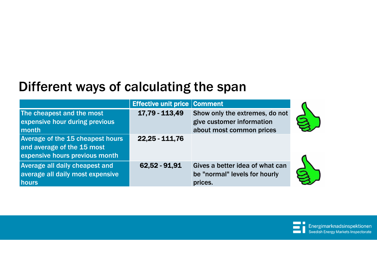## Different ways of calculating the span

|                                                                                                         | <b>Effective unit price Comment</b> |                                                                                         |  |
|---------------------------------------------------------------------------------------------------------|-------------------------------------|-----------------------------------------------------------------------------------------|--|
| The cheapest and the most<br>expensive hour during previous<br>month                                    | 17,79 - 113,49                      | Show only the extremes, do not<br>give customer information<br>about most common prices |  |
| <b>Average of the 15 cheapest hours</b><br>and average of the 15 most<br>expensive hours previous month | $22.25 - 111.76$                    |                                                                                         |  |
| <b>Average all daily cheapest and</b><br>average all daily most expensive<br><b>hours</b>               | 62,52 - 91,91                       | Gives a better idea of what can<br>be "normal" levels for hourly<br>prices.             |  |

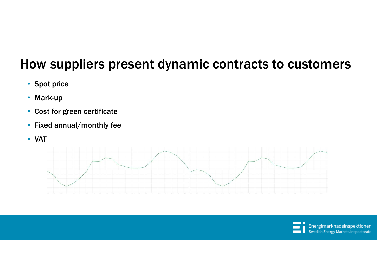# How suppliers present dynamic contracts to customers

- Spot price
- Mark-up
- Cost for green certificate
- Fixed annual/monthly fee
- VAT



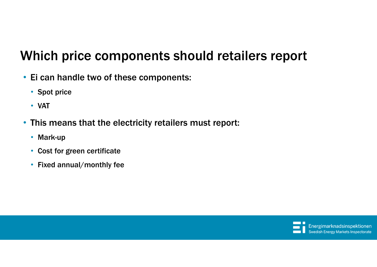## Which price components should retailers report

- Ei can handle two of these components:
	- Spot price
	- VAT
- This means that the electricity retailers must report:
	- Mark-up
	- Cost for green certificate
	- Fixed annual/monthly fee

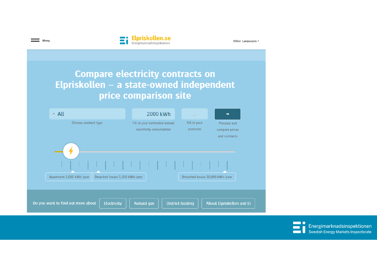

Other Languages -

### **Compare electricity contracts on** Elpriskollen - a state-owned independent price comparison site

| $\sim$ All                                                | 2000 kWh                                                 | <b>SIGN</b>              |                                                |
|-----------------------------------------------------------|----------------------------------------------------------|--------------------------|------------------------------------------------|
| Choose contract type                                      | Fill in your estimated annual<br>electricity consumption | Fill in your<br>postcode | Proceed and<br>compare prices<br>and contracts |
| Apartment 2,000 kWh/year<br>Detached house 5,000 kWh/year |                                                          |                          | Detached house 20,000 kWh/year                 |
| Do you want to find out more about<br>Electricity         | <b>Natural gas</b>                                       | <b>District heating</b>  | About Elpriskollen and Ei                      |

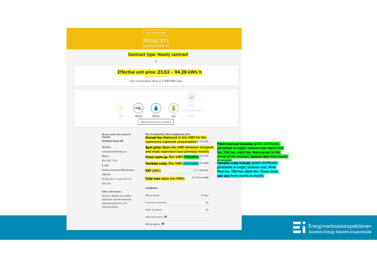|                                                          | Return to search results                                                                                      |                         |                                                                                                                                                                                                                                                                                                                                                                   |
|----------------------------------------------------------|---------------------------------------------------------------------------------------------------------------|-------------------------|-------------------------------------------------------------------------------------------------------------------------------------------------------------------------------------------------------------------------------------------------------------------------------------------------------------------------------------------------------------------|
|                                                          | <b>Rörligt pris</b><br>Karlstads Energi AB                                                                    |                         |                                                                                                                                                                                                                                                                                                                                                                   |
|                                                          | <b>Contract type: Hourly contract</b>                                                                         |                         |                                                                                                                                                                                                                                                                                                                                                                   |
|                                                          | 3                                                                                                             |                         |                                                                                                                                                                                                                                                                                                                                                                   |
|                                                          | Effective unit price: 23,63 - 94,28 kWh/h                                                                     |                         |                                                                                                                                                                                                                                                                                                                                                                   |
|                                                          |                                                                                                               |                         |                                                                                                                                                                                                                                                                                                                                                                   |
|                                                          | Your comparison price at 2,000 kWh/year                                                                       |                         |                                                                                                                                                                                                                                                                                                                                                                   |
| Wind<br>Sun<br>Do you want this contract?                | Bio<br>Water<br>Read more about types of electricity<br>This is included in the comparison price              | environmental<br>choice |                                                                                                                                                                                                                                                                                                                                                                   |
| Contact<br>Karlstads Energi AB                           | <b>Annual fee displayed in öre/kWh for the</b><br><b>customers expected consumption</b> <sup>50</sup> öre/kWh |                         |                                                                                                                                                                                                                                                                                                                                                                   |
| Website                                                  | Spot price (Span öre/kWh between cheapest                                                                     |                         |                                                                                                                                                                                                                                                                                                                                                                   |
| www.karlstadsenergi.se<br>Phone                          | and most expensive hour previous month)<br>Fixed mark-up: Öre/kWh (clickable) <sup>öre/kWh</sup>              |                         |                                                                                                                                                                                                                                                                                                                                                                   |
| 054-540 71 00<br>E-mail                                  | Variable costs: Öre/kWh (clickable) öre/kWh                                                                   |                         |                                                                                                                                                                                                                                                                                                                                                                   |
| kundservice.energi@karlstad.se                           | VAT(25%)                                                                                                      | 14.25 öre/kWh           |                                                                                                                                                                                                                                                                                                                                                                   |
| <b>Address</b><br>Besöksadress: Heden 651 84             | Total cost (span öre/kWh)                                                                                     | 71.26 öre/kWh           |                                                                                                                                                                                                                                                                                                                                                                   |
| Karlstad                                                 |                                                                                                               |                         |                                                                                                                                                                                                                                                                                                                                                                   |
| Other information<br>Avtal om Rörligt elpris gäller      | Conditions<br>Notice period                                                                                   | 30 days                 |                                                                                                                                                                                                                                                                                                                                                                   |
| tillsvidare med en ömsesidig<br>uppsägningstid på en (1) | Automatic extension                                                                                           | No                      |                                                                                                                                                                                                                                                                                                                                                                   |
| kalendermånad.                                           | Right of renewal                                                                                              | No                      | Fixed mark-up includes: green certificate,<br>garantees of origin, balance cost, Nord Pool<br>fee, TSO fee, eSett fee. Mark-up set in the<br>terms of the contract. Cannot vary from month<br>Variable costs include: green certificate,<br>garantees of origin, balance cost, Nord<br>Pool fee, TSO fee, eSett fee. These costs<br>can vary from month to month. |
|                                                          | Early termination @                                                                                           |                         |                                                                                                                                                                                                                                                                                                                                                                   |